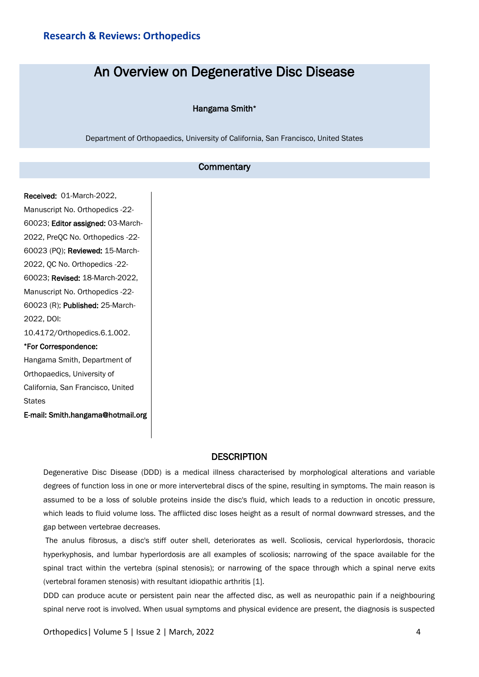# An Overview on Degenerative Disc Disease

#### Hangama Smith\*

Department of Orthopaedics, University of California, San Francisco, United States

# **Commentary**

Received: 01-March-2022, Manuscript No. Orthopedics -22- 60023; Editor assigned: 03-March-2022, PreQC No. Orthopedics -22- 60023 (PQ); Reviewed: 15-March-2022, QC No. Orthopedics -22- 60023; Revised: 18-March-2022, Manuscript No. Orthopedics -22- 60023 (R); Published: 25-March-2022, DOI: 10.4172/Orthopedics.6.1.002. \*For Correspondence: Hangama Smith, Department of

Orthopaedics, University of California, San Francisco, United **States** 

E-mail: Smith.hangama@hotmail.org

## **DESCRIPTION**

Degenerative Disc Disease (DDD) is a medical illness characterised by morphological alterations and variable degrees of function loss in one or more intervertebral discs of the spine, resulting in symptoms. The main reason is assumed to be a loss of soluble proteins inside the disc's fluid, which leads to a reduction in oncotic pressure, which leads to fluid volume loss. The afflicted disc loses height as a result of normal downward stresses, and the gap between vertebrae decreases.

The anulus fibrosus, a disc's stiff outer shell, deteriorates as well. Scoliosis, cervical hyperlordosis, thoracic hyperkyphosis, and lumbar hyperlordosis are all examples of scoliosis; narrowing of the space available for the spinal tract within the vertebra (spinal stenosis); or narrowing of the space through which a spinal nerve exits (vertebral foramen stenosis) with resultant idiopathic arthritis [1].

DDD can produce acute or persistent pain near the affected disc, as well as neuropathic pain if a neighbouring spinal nerve root is involved. When usual symptoms and physical evidence are present, the diagnosis is suspected

Orthopedics| Volume 5 | Issue 2 | March, 2022 4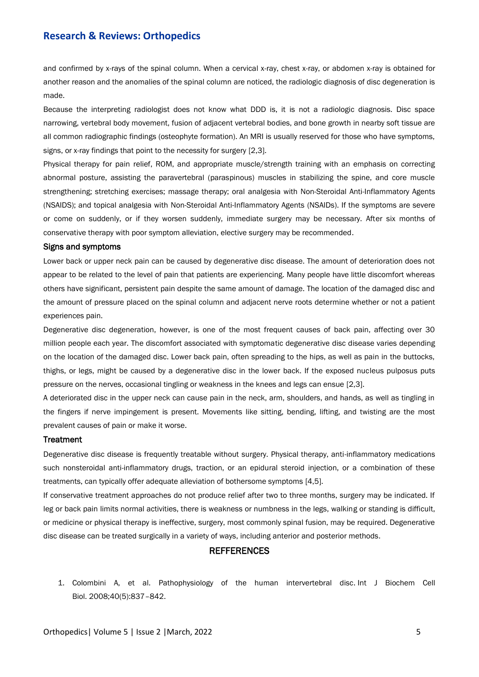# **Research & Reviews: Orthopedics**

and confirmed by x-rays of the spinal column. When a cervical x-ray, chest x-ray, or abdomen x-ray is obtained for another reason and the anomalies of the spinal column are noticed, the radiologic diagnosis of disc degeneration is made.

Because the interpreting radiologist does not know what DDD is, it is not a radiologic diagnosis. Disc space narrowing, vertebral body movement, fusion of adjacent vertebral bodies, and bone growth in nearby soft tissue are all common radiographic findings (osteophyte formation). An MRI is usually reserved for those who have symptoms, signs, or x-ray findings that point to the necessity for surgery [2,3].

Physical therapy for pain relief, ROM, and appropriate muscle/strength training with an emphasis on correcting abnormal posture, assisting the paravertebral (paraspinous) muscles in stabilizing the spine, and core muscle strengthening; stretching exercises; massage therapy; oral analgesia with Non-Steroidal Anti-Inflammatory Agents (NSAIDS); and topical analgesia with Non-Steroidal Anti-Inflammatory Agents (NSAIDs). If the symptoms are severe or come on suddenly, or if they worsen suddenly, immediate surgery may be necessary. After six months of conservative therapy with poor symptom alleviation, elective surgery may be recommended.

#### Signs and symptoms

Lower back or upper neck pain can be caused by degenerative disc disease. The amount of deterioration does not appear to be related to the level of pain that patients are experiencing. Many people have little discomfort whereas others have significant, persistent pain despite the same amount of damage. The location of the damaged disc and the amount of pressure placed on the spinal column and adjacent nerve roots determine whether or not a patient experiences pain.

Degenerative disc degeneration, however, is one of the most frequent causes of back pain, affecting over 30 million people each year. The discomfort associated with symptomatic degenerative disc disease varies depending on the location of the damaged disc. Lower back pain, often spreading to the hips, as well as pain in the buttocks, thighs, or legs, might be caused by a degenerative disc in the lower back. If the exposed nucleus pulposus puts pressure on the nerves, occasional tingling or weakness in the knees and legs can ensue [2,3].

A deteriorated disc in the upper neck can cause pain in the neck, arm, shoulders, and hands, as well as tingling in the fingers if nerve impingement is present. Movements like sitting, bending, lifting, and twisting are the most prevalent causes of pain or make it worse.

#### **Treatment**

Degenerative disc disease is frequently treatable without surgery. Physical therapy, anti-inflammatory medications such nonsteroidal anti-inflammatory drugs, traction, or an epidural steroid injection, or a combination of these treatments, can typically offer adequate alleviation of bothersome symptoms [4,5].

If conservative treatment approaches do not produce relief after two to three months, surgery may be indicated. If leg or back pain limits normal activities, there is weakness or numbness in the legs, walking or standing is difficult, or medicine or physical therapy is ineffective, surgery, most commonly spinal fusion, may be required. Degenerative disc disease can be treated surgically in a variety of ways, including anterior and posterior methods.

#### **REFFERENCES**

1. Colombini A, et al. [Pathophysiology of the human intervertebral disc.](https://www.sciencedirect.com/science/article/abs/pii/S1357272507004190?via%3Dihub) Int J Biochem Cell Biol. 2008;40(5):837–842.